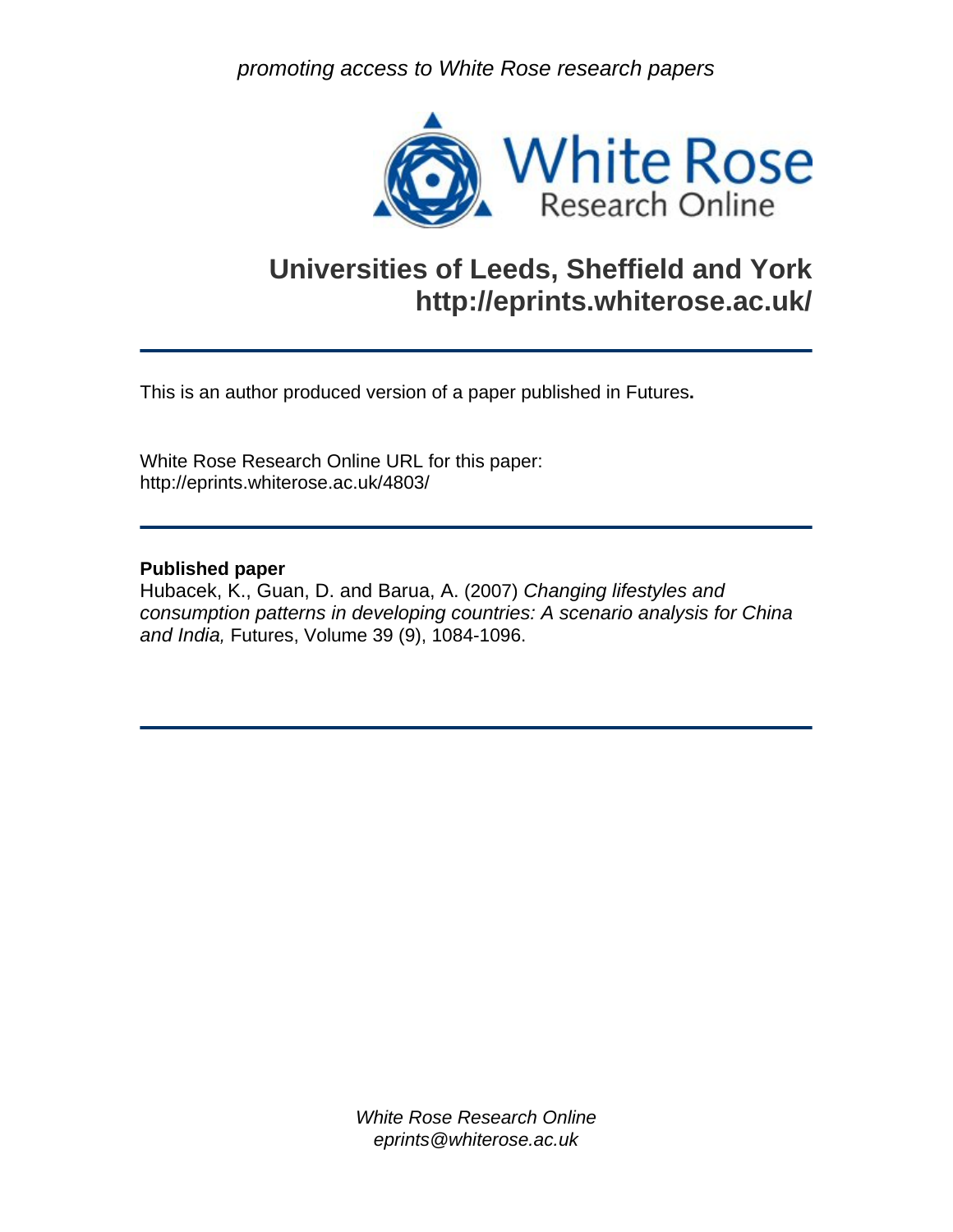*promoting access to White Rose research papers* 



# **Universities of Leeds, Sheffield and York http://eprints.whiterose.ac.uk/**

This is an author produced version of a paper published in Futures**.** 

White Rose Research Online URL for this paper: http://eprints.whiterose.ac.uk/4803/

# **Published paper**

Hubacek, K., Guan, D. and Barua, A. (2007) *Changing lifestyles and consumption patterns in developing countries: A scenario analysis for China and India,* Futures, Volume 39 (9), 1084-1096.

> *White Rose Research Online eprints@whiterose.ac.uk*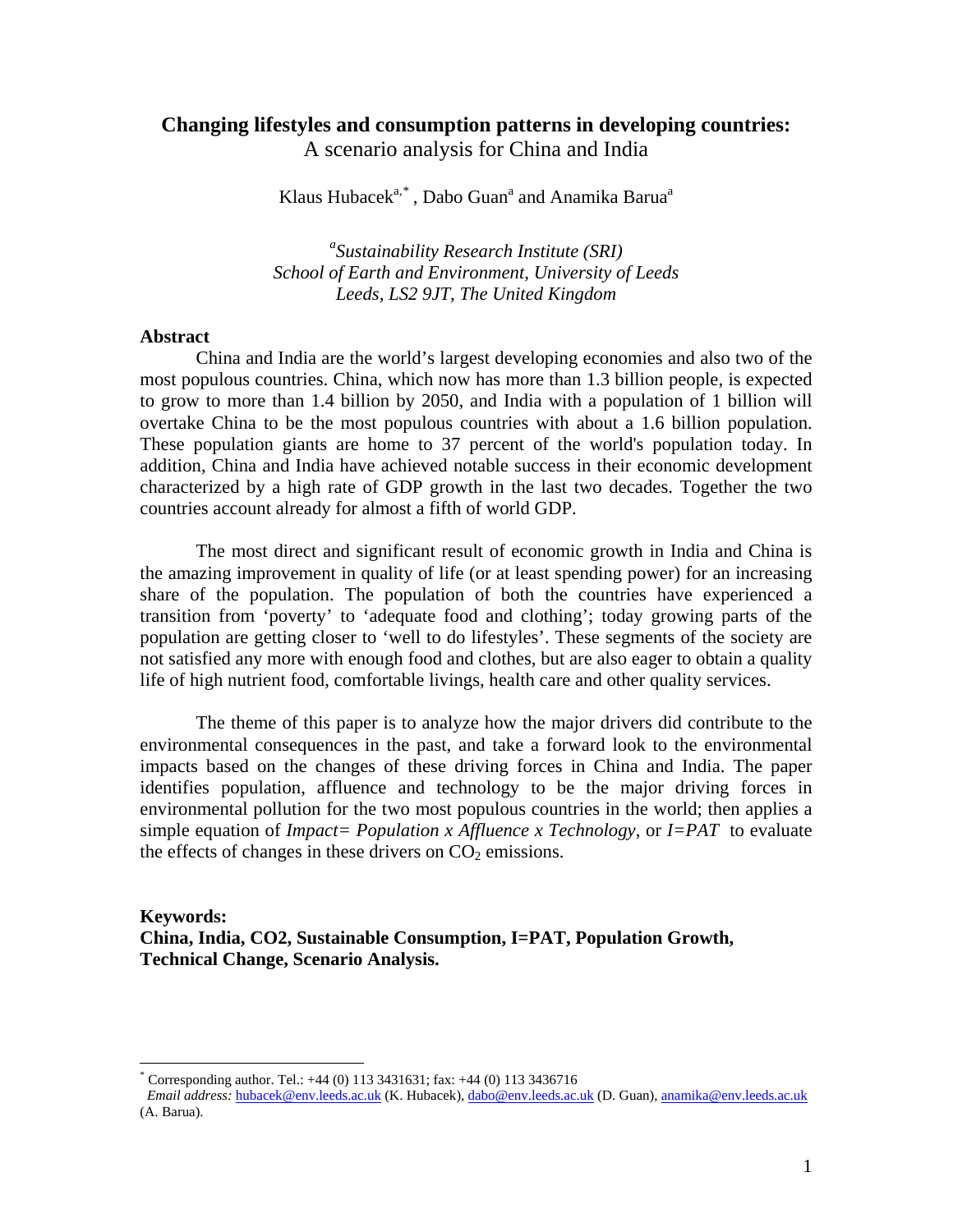# **Changing lifestyles and consumption patterns in developing countries:**

A scenario analysis for China and India

Klaus Hubacek<sup>a,[\\*](#page-1-0)</sup> , Dabo Guan<sup>a</sup> and Anamika Barua<sup>a</sup>

*a Sustainability Research Institute (SRI) School of Earth and Environment, University of Leeds Leeds, LS2 9JT, The United Kingdom* 

## **Abstract**

 $\overline{a}$ 

China and India are the world's largest developing economies and also two of the most populous countries. China, which now has more than 1.3 billion people, is expected to grow to more than 1.4 billion by 2050, and India with a population of 1 billion will overtake China to be the most populous countries with about a 1.6 billion population. These population giants are home to 37 percent of the world's population today. In addition, China and India have achieved notable success in their economic development characterized by a high rate of GDP growth in the last two decades. Together the two countries account already for almost a fifth of world GDP.

The most direct and significant result of economic growth in India and China is the amazing improvement in quality of life (or at least spending power) for an increasing share of the population. The population of both the countries have experienced a transition from 'poverty' to 'adequate food and clothing'; today growing parts of the population are getting closer to 'well to do lifestyles'. These segments of the society are not satisfied any more with enough food and clothes, but are also eager to obtain a quality life of high nutrient food, comfortable livings, health care and other quality services.

The theme of this paper is to analyze how the major drivers did contribute to the environmental consequences in the past, and take a forward look to the environmental impacts based on the changes of these driving forces in China and India. The paper identifies population, affluence and technology to be the major driving forces in environmental pollution for the two most populous countries in the world; then applies a simple equation of *Impact= Population x Affluence x Technology*, or *I=PAT* to evaluate the effects of changes in these drivers on  $CO<sub>2</sub>$  emissions.

**Keywords: China, India, CO2, Sustainable Consumption, I=PAT, Population Growth, Technical Change, Scenario Analysis.** 

<sup>\*</sup> Corresponding author. Tel.: +44 (0) 113 3431631; fax: +44 (0) 113 3436716

<span id="page-1-0"></span>*Email address:* [hubacek@env.leeds.ac.uk](mailto:hubacek@env.leeds.ac.uk) (K. Hubacek), [dabo@env.leeds.ac.uk](mailto:dabo@env.leeds.ac.uk) (D. Guan), [anamika@env.leeds.ac.uk](mailto:anamika@env.leeds.ac.uk)  (A. Barua).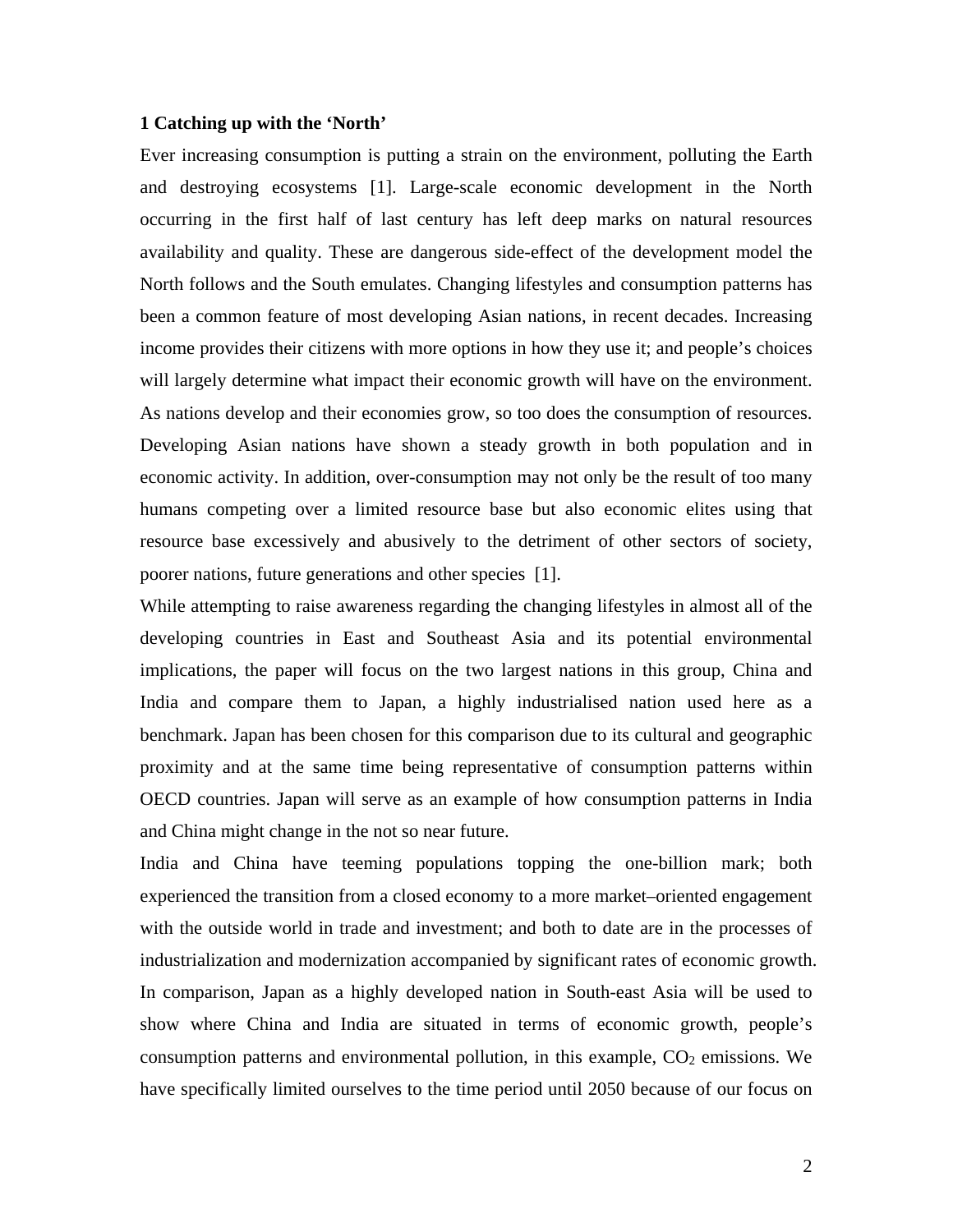## **1 Catching up with the 'North'**

Ever increasing consumption is putting a strain on the environment, polluting the Earth and destroying ecosystems [1]. Large-scale economic development in the North occurring in the first half of last century has left deep marks on natural resources availability and quality. These are dangerous side-effect of the development model the North follows and the South emulates. Changing lifestyles and consumption patterns has been a common feature of most developing Asian nations, in recent decades. Increasing income provides their citizens with more options in how they use it; and people's choices will largely determine what impact their economic growth will have on the environment. As nations develop and their economies grow, so too does the consumption of resources. Developing Asian nations have shown a steady growth in both population and in economic activity. In addition, over-consumption may not only be the result of too many humans competing over a limited resource base but also economic elites using that resource base excessively and abusively to the detriment of other sectors of society, poorer nations, future generations and other species [1].

While attempting to raise awareness regarding the changing lifestyles in almost all of the developing countries in East and Southeast Asia and its potential environmental implications, the paper will focus on the two largest nations in this group, China and India and compare them to Japan, a highly industrialised nation used here as a benchmark. Japan has been chosen for this comparison due to its cultural and geographic proximity and at the same time being representative of consumption patterns within OECD countries. Japan will serve as an example of how consumption patterns in India and China might change in the not so near future.

India and China have teeming populations topping the one-billion mark; both experienced the transition from a closed economy to a more market–oriented engagement with the outside world in trade and investment; and both to date are in the processes of industrialization and modernization accompanied by significant rates of economic growth. In comparison, Japan as a highly developed nation in South-east Asia will be used to show where China and India are situated in terms of economic growth, people's consumption patterns and environmental pollution, in this example,  $CO<sub>2</sub>$  emissions. We have specifically limited ourselves to the time period until 2050 because of our focus on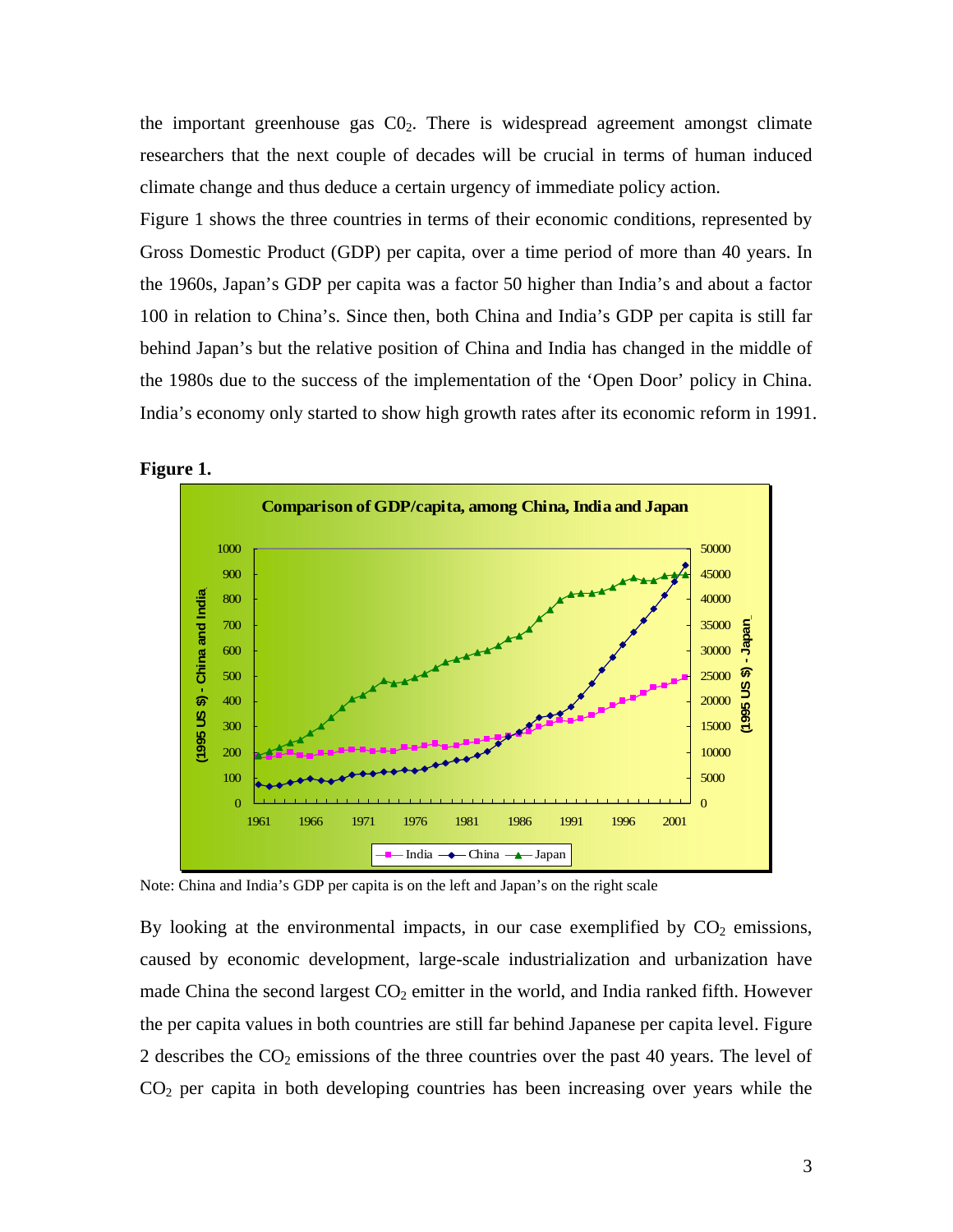the important greenhouse gas  $CO<sub>2</sub>$ . There is widespread agreement amongst climate researchers that the next couple of decades will be crucial in terms of human induced climate change and thus deduce a certain urgency of immediate policy action.

Figure 1 shows the three countries in terms of their economic conditions, represented by Gross Domestic Product (GDP) per capita, over a time period of more than 40 years. In the 1960s, Japan's GDP per capita was a factor 50 higher than India's and about a factor 100 in relation to China's. Since then, both China and India's GDP per capita is still far behind Japan's but the relative position of China and India has changed in the middle of the 1980s due to the success of the implementation of the 'Open Door' policy in China. India's economy only started to show high growth rates after its economic reform in 1991.



**Figure 1.** 

Note: China and India's GDP per capita is on the left and Japan's on the right scale

By looking at the environmental impacts, in our case exemplified by  $CO<sub>2</sub>$  emissions, caused by economic development, large-scale industrialization and urbanization have made China the second largest  $CO<sub>2</sub>$  emitter in the world, and India ranked fifth. However the per capita values in both countries are still far behind Japanese per capita level. Figure 2 describes the  $CO<sub>2</sub>$  emissions of the three countries over the past 40 years. The level of  $CO<sub>2</sub>$  per capita in both developing countries has been increasing over years while the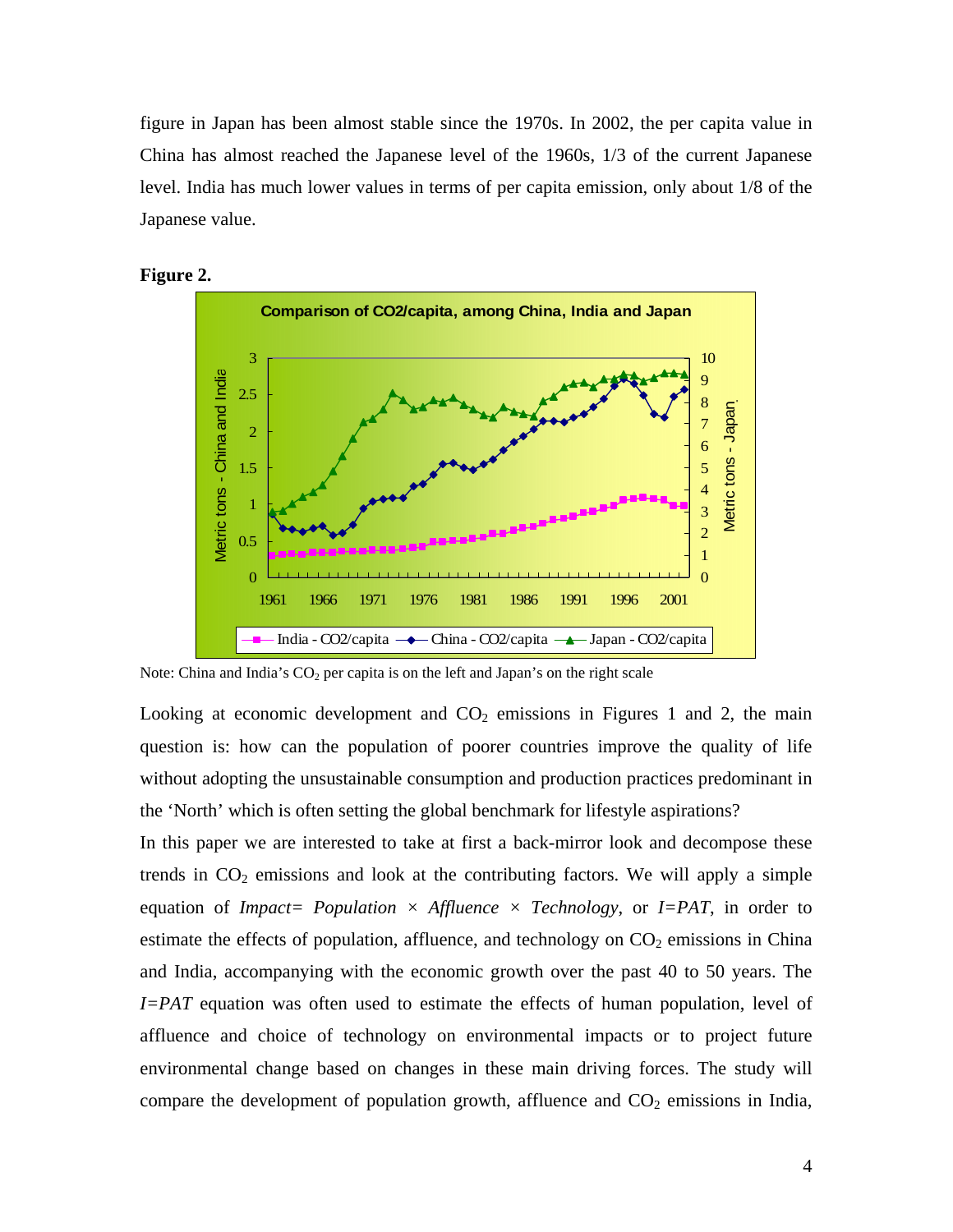figure in Japan has been almost stable since the 1970s. In 2002, the per capita value in China has almost reached the Japanese level of the 1960s, 1/3 of the current Japanese level. India has much lower values in terms of per capita emission, only about 1/8 of the Japanese value.





Note: China and India's  $CO<sub>2</sub>$  per capita is on the left and Japan's on the right scale

Looking at economic development and  $CO<sub>2</sub>$  emissions in Figures 1 and 2, the main question is: how can the population of poorer countries improve the quality of life without adopting the unsustainable consumption and production practices predominant in the 'North' which is often setting the global benchmark for lifestyle aspirations?

In this paper we are interested to take at first a back-mirror look and decompose these trends in  $CO<sub>2</sub>$  emissions and look at the contributing factors. We will apply a simple equation of *Impact= Population*  $\times$  *Affluence*  $\times$  *Technology*, or *I=PAT*, in order to estimate the effects of population, affluence, and technology on  $CO<sub>2</sub>$  emissions in China and India, accompanying with the economic growth over the past 40 to 50 years. The *I=PAT* equation was often used to estimate the effects of human population, level of affluence and choice of technology on environmental impacts or to project future environmental change based on changes in these main driving forces. The study will compare the development of population growth, affluence and  $CO<sub>2</sub>$  emissions in India,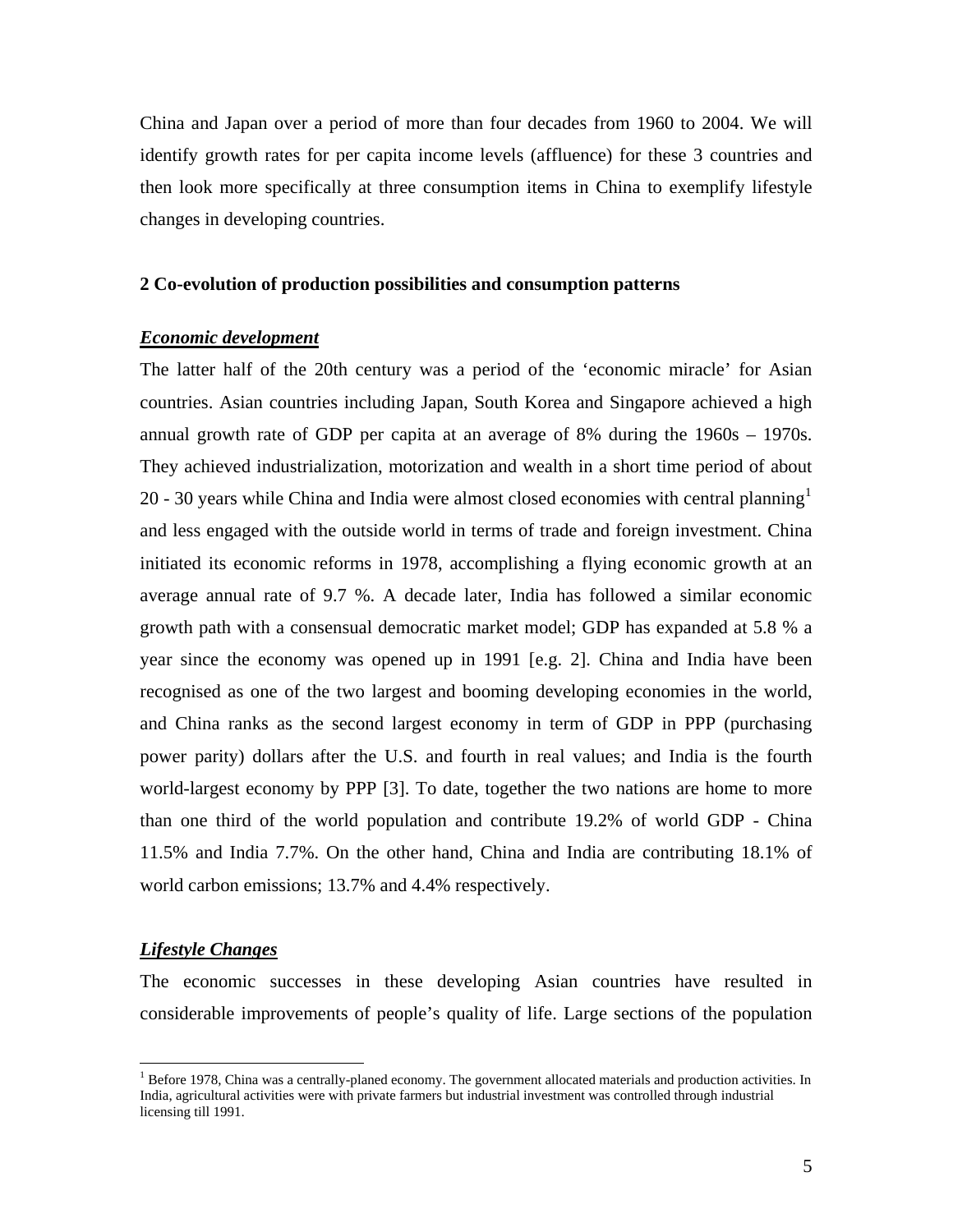China and Japan over a period of more than four decades from 1960 to 2004. We will identify growth rates for per capita income levels (affluence) for these 3 countries and then look more specifically at three consumption items in China to exemplify lifestyle changes in developing countries.

## **2 Co-evolution of production possibilities and consumption patterns**

## *Economic development*

The latter half of the 20th century was a period of the 'economic miracle' for Asian countries. Asian countries including Japan, South Korea and Singapore achieved a high annual growth rate of GDP per capita at an average of 8% during the 1960s – 1970s. They achieved industrialization, motorization and wealth in a short time period of about 20 - 30 years while China and India were almost closed economies with central planning<sup>[1](#page-5-0)</sup> and less engaged with the outside world in terms of trade and foreign investment. China initiated its economic reforms in 1978, accomplishing a flying economic growth at an average annual rate of 9.7 %. A decade later, India has followed a similar economic growth path with a consensual democratic market model; GDP has expanded at 5.8 % a year since the economy was opened up in 1991 [e.g. 2]. China and India have been recognised as one of the two largest and booming developing economies in the world, and China ranks as the second largest economy in term of GDP in PPP (purchasing power parity) dollars after the U.S. and fourth in real values; and India is the fourth world-largest economy by PPP [3]. To date, together the two nations are home to more than one third of the world population and contribute 19.2% of world GDP - China 11.5% and India 7.7%. On the other hand, China and India are contributing 18.1% of world carbon emissions; 13.7% and 4.4% respectively.

## *Lifestyle Changes*

 $\overline{a}$ 

The economic successes in these developing Asian countries have resulted in considerable improvements of people's quality of life. Large sections of the population

<span id="page-5-0"></span><sup>&</sup>lt;sup>1</sup> Before 1978, China was a centrally-planed economy. The government allocated materials and production activities. In India, agricultural activities were with private farmers but industrial investment was controlled through industrial licensing till 1991.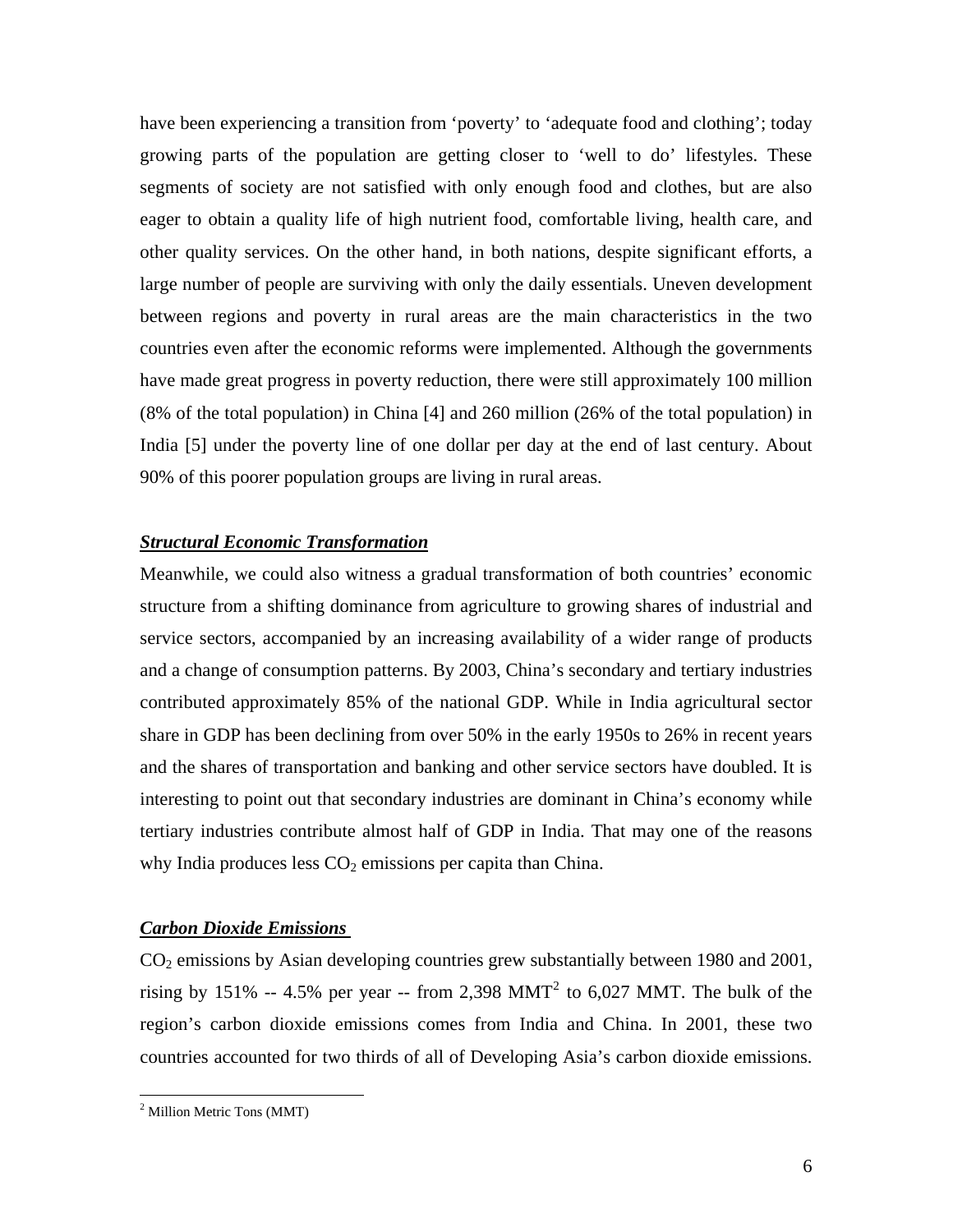have been experiencing a transition from 'poverty' to 'adequate food and clothing'; today growing parts of the population are getting closer to 'well to do' lifestyles. These segments of society are not satisfied with only enough food and clothes, but are also eager to obtain a quality life of high nutrient food, comfortable living, health care, and other quality services. On the other hand, in both nations, despite significant efforts, a large number of people are surviving with only the daily essentials. Uneven development between regions and poverty in rural areas are the main characteristics in the two countries even after the economic reforms were implemented. Although the governments have made great progress in poverty reduction, there were still approximately 100 million (8% of the total population) in China [4] and 260 million (26% of the total population) in India [5] under the poverty line of one dollar per day at the end of last century. About 90% of this poorer population groups are living in rural areas.

# *Structural Economic Transformation*

Meanwhile, we could also witness a gradual transformation of both countries' economic structure from a shifting dominance from agriculture to growing shares of industrial and service sectors, accompanied by an increasing availability of a wider range of products and a change of consumption patterns. By 2003, China's secondary and tertiary industries contributed approximately 85% of the national GDP. While in India agricultural sector share in GDP has been declining from over 50% in the early 1950s to 26% in recent years and the shares of transportation and banking and other service sectors have doubled. It is interesting to point out that secondary industries are dominant in China's economy while tertiary industries contribute almost half of GDP in India. That may one of the reasons why India produces less  $CO<sub>2</sub>$  emissions per capita than China.

## *Carbon Dioxide Emissions*

 $CO<sub>2</sub>$  emissions by Asian developing countries grew substantially between 1980 and 2001, rising by 151% -- 4.5% per year -- from [2](#page-6-0),398 MMT<sup>2</sup> to 6,027 MMT. The bulk of the region's carbon dioxide emissions comes from India and China. In 2001, these two countries accounted for two thirds of all of Developing Asia's carbon dioxide emissions.

<span id="page-6-0"></span><sup>&</sup>lt;sup>2</sup> Million Metric Tons (MMT)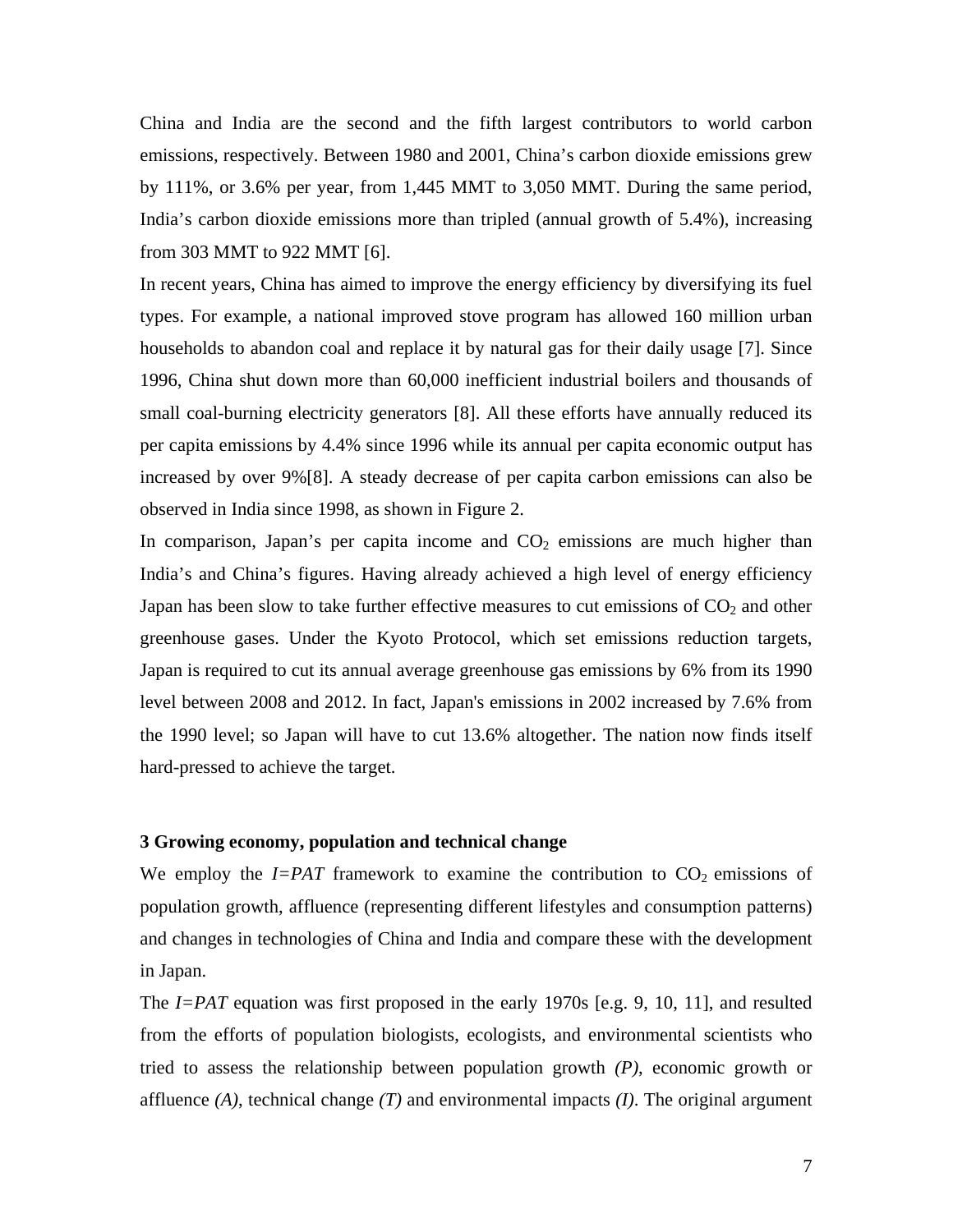China and India are the second and the fifth largest contributors to world carbon emissions, respectively. Between 1980 and 2001, China's carbon dioxide emissions grew by 111%, or 3.6% per year, from 1,445 MMT to 3,050 MMT. During the same period, India's carbon dioxide emissions more than tripled (annual growth of 5.4%), increasing from 303 MMT to 922 MMT [6].

In recent years, China has aimed to improve the energy efficiency by diversifying its fuel types. For example, a national improved stove program has allowed 160 million urban households to abandon coal and replace it by natural gas for their daily usage [7]. Since 1996, China shut down more than 60,000 inefficient industrial boilers and thousands of small coal-burning electricity generators [8]. All these efforts have annually reduced its per capita emissions by 4.4% since 1996 while its annual per capita economic output has increased by over 9%[8]. A steady decrease of per capita carbon emissions can also be observed in India since 1998, as shown in Figure 2.

In comparison, Japan's per capita income and  $CO<sub>2</sub>$  emissions are much higher than India's and China's figures. Having already achieved a high level of energy efficiency Japan has been slow to take further effective measures to cut emissions of  $CO<sub>2</sub>$  and other greenhouse gases. Under the Kyoto Protocol, which set emissions reduction targets, Japan is required to cut its annual average greenhouse gas emissions by 6% from its 1990 level between 2008 and 2012. In fact, Japan's emissions in 2002 increased by 7.6% from the 1990 level; so Japan will have to cut 13.6% altogether. The nation now finds itself hard-pressed to achieve the target.

## **3 Growing economy, population and technical change**

We employ the  $I=PAT$  framework to examine the contribution to  $CO<sub>2</sub>$  emissions of population growth, affluence (representing different lifestyles and consumption patterns) and changes in technologies of China and India and compare these with the development in Japan.

The *I=PAT* equation was first proposed in the early 1970s [e.g. 9, 10, 11], and resulted from the efforts of population biologists, ecologists, and environmental scientists who tried to assess the relationship between population growth *(P)*, economic growth or affluence *(A)*, technical change *(T)* and environmental impacts *(I)*. The original argument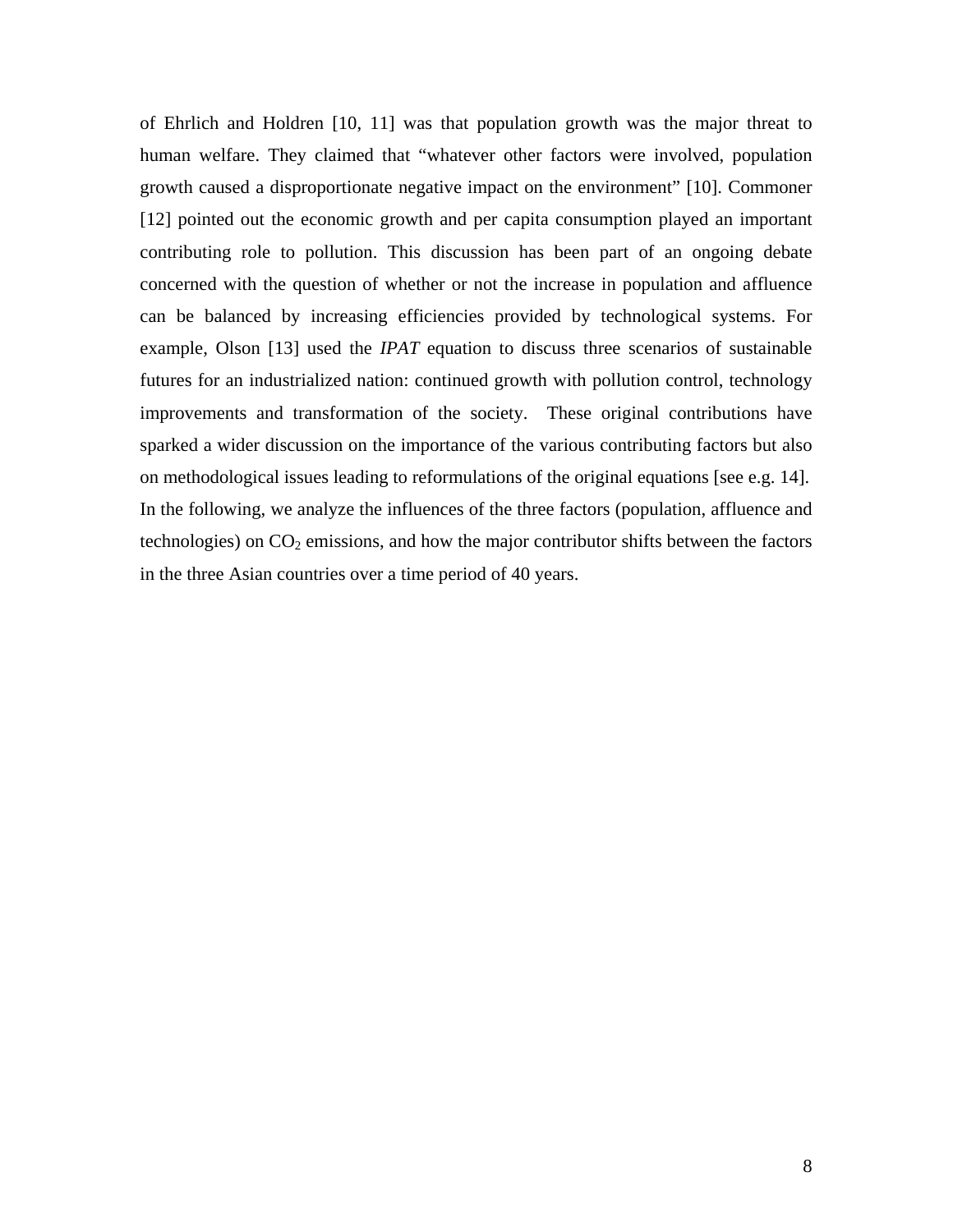of Ehrlich and Holdren [10, 11] was that population growth was the major threat to human welfare. They claimed that "whatever other factors were involved, population growth caused a disproportionate negative impact on the environment" [10]. Commoner [12] pointed out the economic growth and per capita consumption played an important contributing role to pollution. This discussion has been part of an ongoing debate concerned with the question of whether or not the increase in population and affluence can be balanced by increasing efficiencies provided by technological systems. For example, Olson [13] used the *IPAT* equation to discuss three scenarios of sustainable futures for an industrialized nation: continued growth with pollution control, technology improvements and transformation of the society. These original contributions have sparked a wider discussion on the importance of the various contributing factors but also on methodological issues leading to reformulations of the original equations [see e.g. 14]. In the following, we analyze the influences of the three factors (population, affluence and technologies) on  $CO<sub>2</sub>$  emissions, and how the major contributor shifts between the factors in the three Asian countries over a time period of 40 years.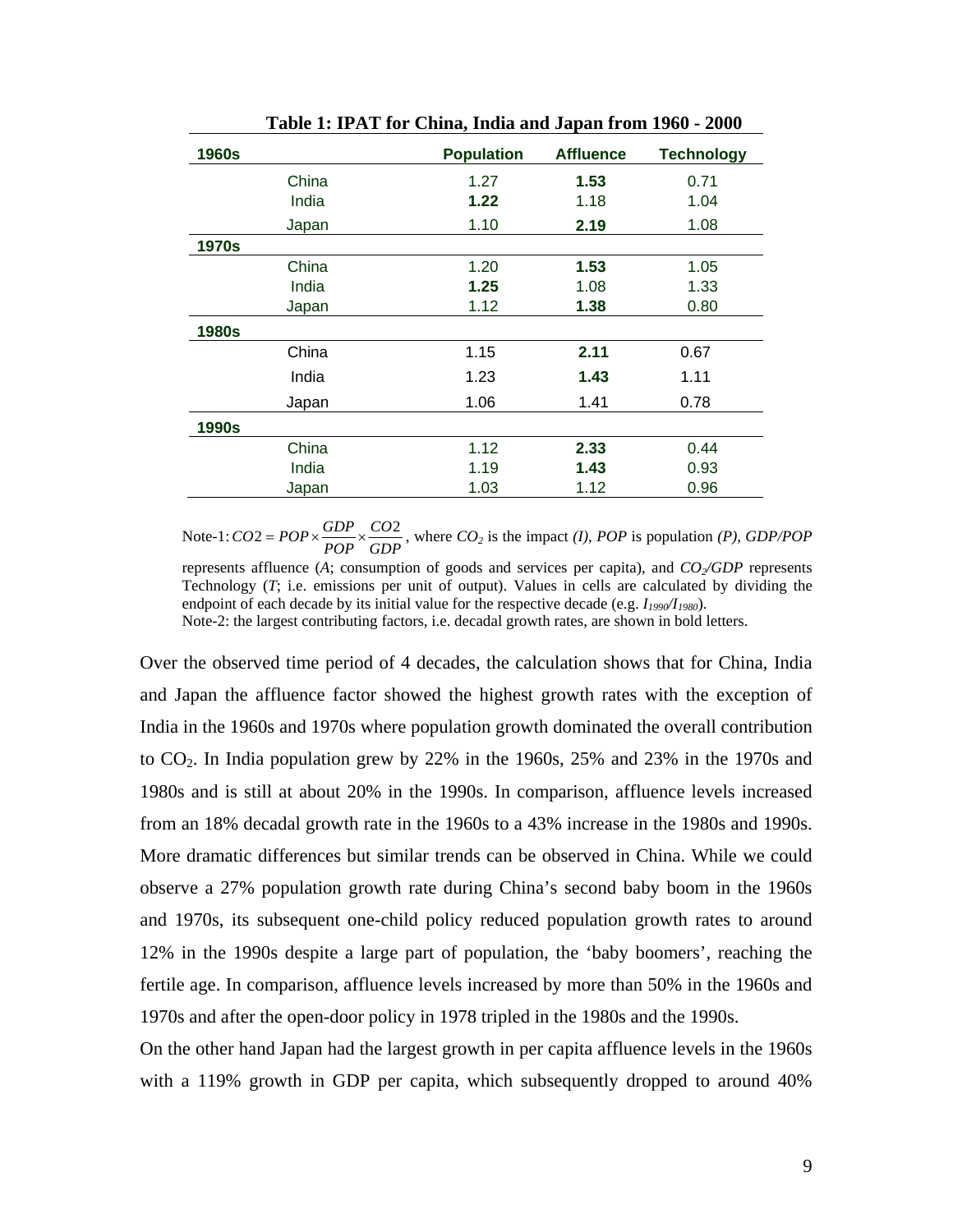| <b>1960s</b> | <b>Population</b> | <b>Affluence</b> | <b>Technology</b> |
|--------------|-------------------|------------------|-------------------|
| China        | 1.27              | 1.53             | 0.71              |
| India        | 1.22              | 1.18             | 1.04              |
| Japan        | 1.10              | 2.19             | 1.08              |
| <b>1970s</b> |                   |                  |                   |
| China        | 1.20              | 1.53             | 1.05              |
| India        | 1.25              | 1.08             | 1.33              |
| Japan        | 1.12              | 1.38             | 0.80              |
| 1980s        |                   |                  |                   |
| China        | 1.15              | 2.11             | 0.67              |
| India        | 1.23              | 1.43             | 1.11              |
| Japan        | 1.06              | 1.41             | 0.78              |
| 1990s        |                   |                  |                   |
| China        | 1.12              | 2.33             | 0.44              |
| India        | 1.19              | 1.43             | 0.93              |
| Japan        | 1.03              | 1.12             | 0.96              |

**Table 1: IPAT for China, India and Japan from 1960 - 2000** 

Note-1:  $CO2 = POP \times \frac{GDP}{POP} \times \frac{CO2}{GDP}$ , where  $CO_2$  is the impact *(I)*, *POP* is population *(P)*, *GDP/POP* represents affluence (A; consumption of goods and services per capita), and *CO*<sub>2</sub>/GDP represents Technology (*T*; i.e. emissions per unit of output). Values in cells are calculated by dividing the endpoint of each decade by its initial value for the respective decade (e.g.  $I_{1990}/I_{1980}$ ). Note-2: the largest contributing factors, i.e. decadal growth rates, are shown in bold letters.

Over the observed time period of 4 decades, the calculation shows that for China, India and Japan the affluence factor showed the highest growth rates with the exception of India in the 1960s and 1970s where population growth dominated the overall contribution to CO2. In India population grew by 22% in the 1960s, 25% and 23% in the 1970s and 1980s and is still at about 20% in the 1990s. In comparison, affluence levels increased from an 18% decadal growth rate in the 1960s to a 43% increase in the 1980s and 1990s. More dramatic differences but similar trends can be observed in China. While we could observe a 27% population growth rate during China's second baby boom in the 1960s and 1970s, its subsequent one-child policy reduced population growth rates to around 12% in the 1990s despite a large part of population, the 'baby boomers', reaching the fertile age. In comparison, affluence levels increased by more than 50% in the 1960s and 1970s and after the open-door policy in 1978 tripled in the 1980s and the 1990s.

On the other hand Japan had the largest growth in per capita affluence levels in the 1960s with a 119% growth in GDP per capita, which subsequently dropped to around 40%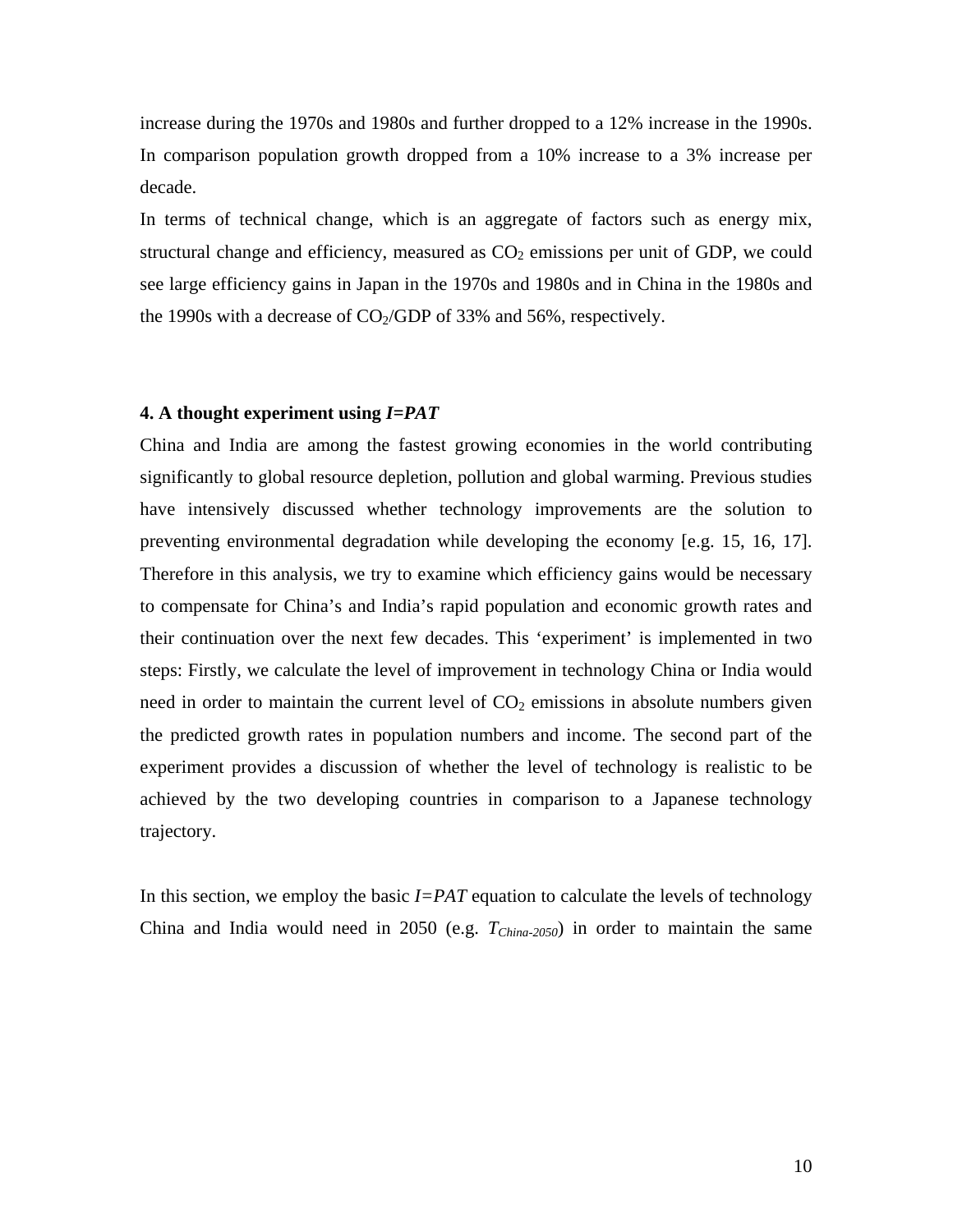increase during the 1970s and 1980s and further dropped to a 12% increase in the 1990s. In comparison population growth dropped from a 10% increase to a 3% increase per decade.

In terms of technical change, which is an aggregate of factors such as energy mix, structural change and efficiency, measured as  $CO<sub>2</sub>$  emissions per unit of GDP, we could see large efficiency gains in Japan in the 1970s and 1980s and in China in the 1980s and the 1990s with a decrease of  $CO<sub>2</sub>/GDP$  of 33% and 56%, respectively.

#### **4. A thought experiment using** *I=PAT*

China and India are among the fastest growing economies in the world contributing significantly to global resource depletion, pollution and global warming. Previous studies have intensively discussed whether technology improvements are the solution to preventing environmental degradation while developing the economy [e.g. 15, 16, 17]. Therefore in this analysis, we try to examine which efficiency gains would be necessary to compensate for China's and India's rapid population and economic growth rates and their continuation over the next few decades. This 'experiment' is implemented in two steps: Firstly, we calculate the level of improvement in technology China or India would need in order to maintain the current level of  $CO<sub>2</sub>$  emissions in absolute numbers given the predicted growth rates in population numbers and income. The second part of the experiment provides a discussion of whether the level of technology is realistic to be achieved by the two developing countries in comparison to a Japanese technology trajectory.

In this section, we employ the basic *I=PAT* equation to calculate the levels of technology China and India would need in 2050 (e.g.  $T_{China-2050}$ ) in order to maintain the same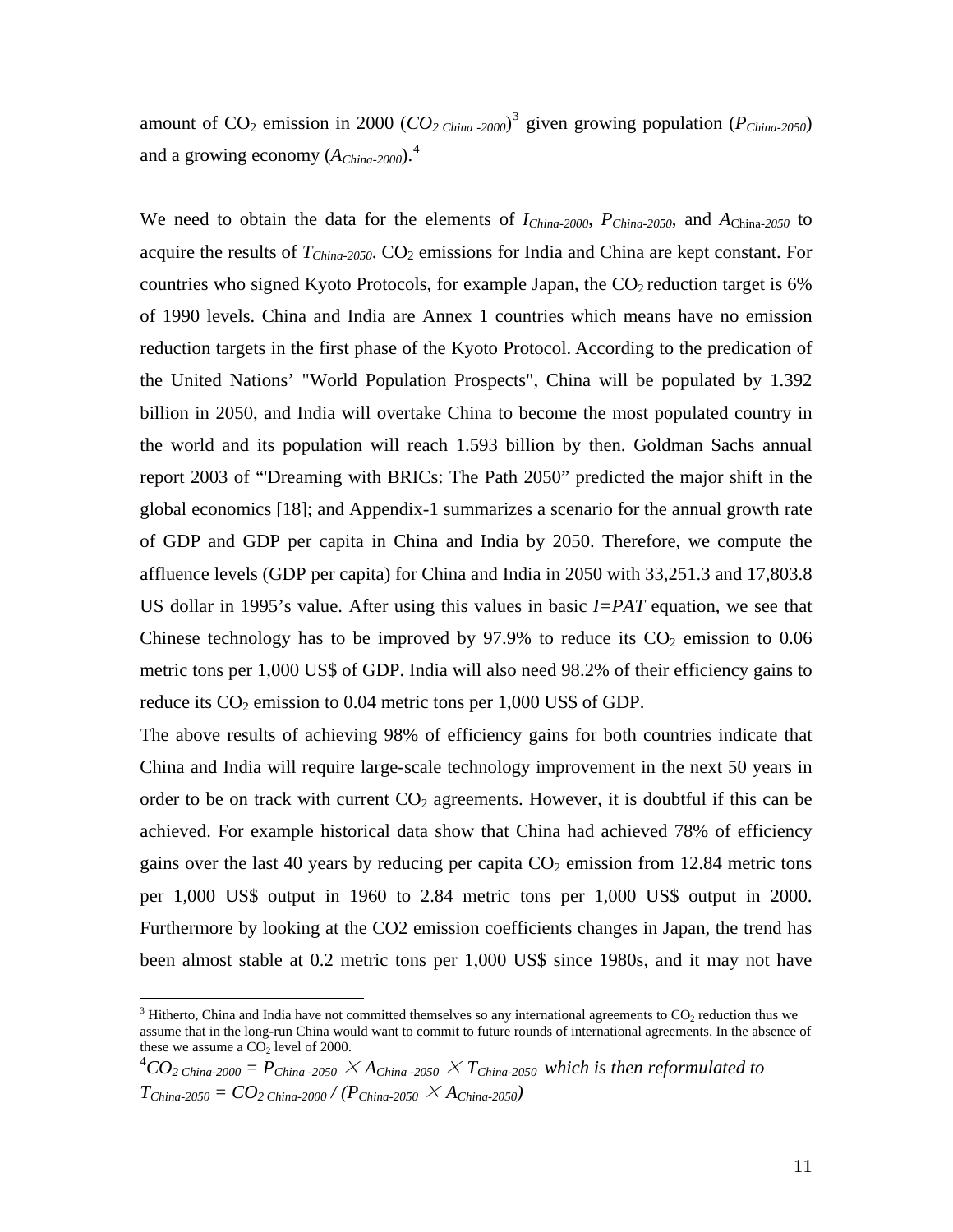amount of  $CO_2$  emission in 2000 ( $CO_2$ <sub>China-2000</sub>)<sup>[3](#page-11-0)</sup> given growing population ( $P_{China-2050}$ ) and a growing economy ( $A_{China-2000}$ ).<sup>[4](#page-11-1)</sup>

We need to obtain the data for the elements of *IChina-2000*, *PChina-2050*, and *A*China-*2050* to acquire the results of  $T_{China-2050}$ .  $CO<sub>2</sub>$  emissions for India and China are kept constant. For countries who signed Kyoto Protocols, for example Japan, the  $CO<sub>2</sub>$  reduction target is 6% of 1990 levels. China and India are Annex 1 countries which means have no emission reduction targets in the first phase of the Kyoto Protocol. According to the predication of the United Nations' "World Population Prospects", China will be populated by 1.392 billion in 2050, and India will overtake China to become the most populated country in the world and its population will reach 1.593 billion by then. Goldman Sachs annual report 2003 of "'Dreaming with BRICs: The Path 2050" predicted the major shift in the global economics [18]; and Appendix-1 summarizes a scenario for the annual growth rate of GDP and GDP per capita in China and India by 2050. Therefore, we compute the affluence levels (GDP per capita) for China and India in 2050 with 33,251.3 and 17,803.8 US dollar in 1995's value. After using this values in basic *I=PAT* equation, we see that Chinese technology has to be improved by  $97.9\%$  to reduce its  $CO<sub>2</sub>$  emission to 0.06 metric tons per 1,000 US\$ of GDP. India will also need 98.2% of their efficiency gains to reduce its  $CO<sub>2</sub>$  emission to 0.04 metric tons per 1,000 US\$ of GDP.

The above results of achieving 98% of efficiency gains for both countries indicate that China and India will require large-scale technology improvement in the next 50 years in order to be on track with current  $CO<sub>2</sub>$  agreements. However, it is doubtful if this can be achieved. For example historical data show that China had achieved 78% of efficiency gains over the last 40 years by reducing per capita  $CO<sub>2</sub>$  emission from 12.84 metric tons per 1,000 US\$ output in 1960 to 2.84 metric tons per 1,000 US\$ output in 2000. Furthermore by looking at the CO2 emission coefficients changes in Japan, the trend has been almost stable at 0.2 metric tons per 1,000 US\$ since 1980s, and it may not have

 $\overline{a}$ 

<span id="page-11-0"></span> $3$  Hitherto, China and India have not committed themselves so any international agreements to  $CO_2$  reduction thus we assume that in the long-run China would want to commit to future rounds of international agreements. In the absence of these we assume a  $CO<sub>2</sub>$  level of 2000.

<span id="page-11-1"></span> $^4CO_2$  china-2000 =  $P_{China$ -2050  $\times$  A<sub>China</sub>-2050  $\times$  T<sub>China-2050</sub> which is then reformulated to  $T_{China\text{-}2050} = CO_{2 \text{ China-}2000} / (P_{China\text{-}2050} \times A_{China\text{-}2050})$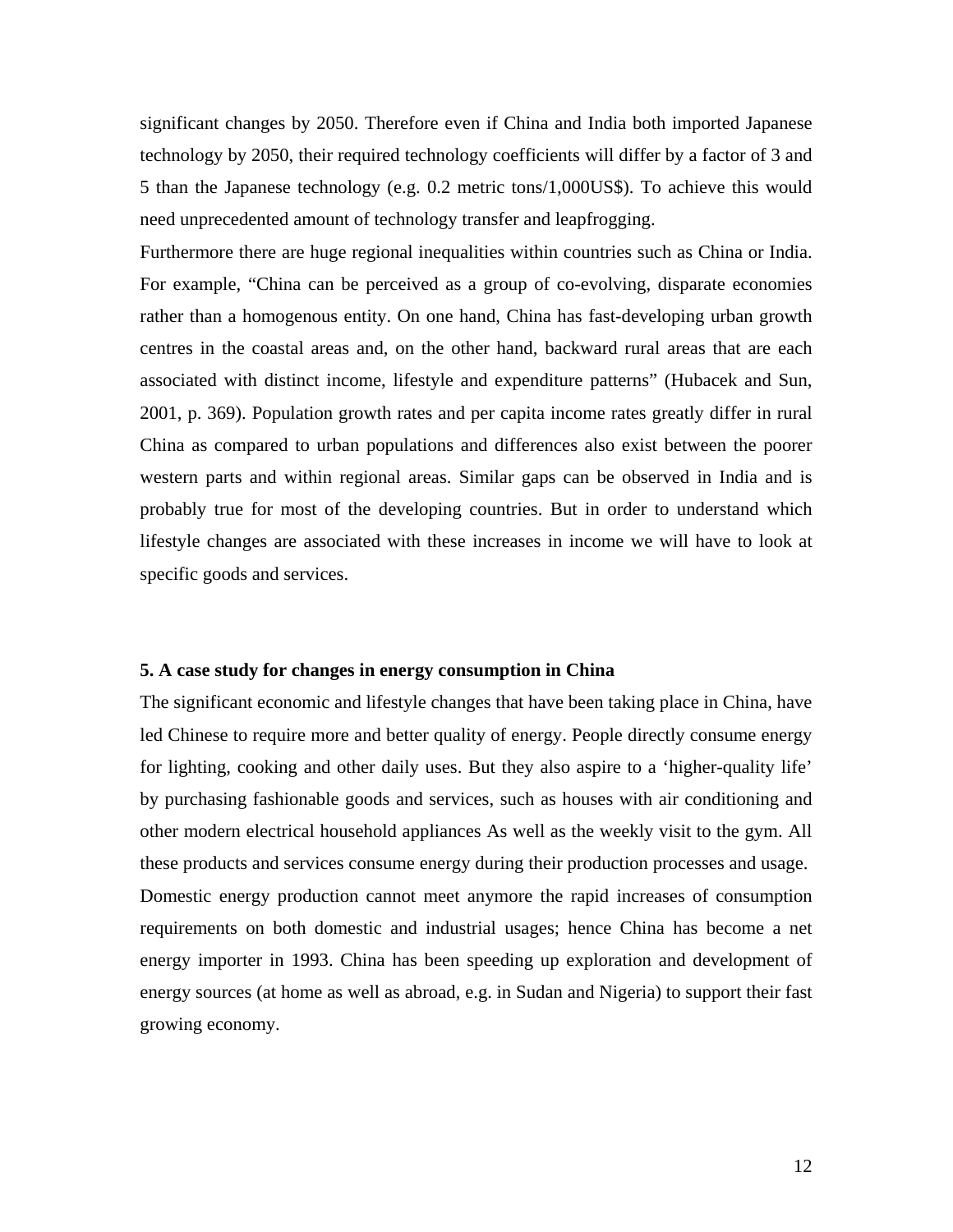significant changes by 2050. Therefore even if China and India both imported Japanese technology by 2050, their required technology coefficients will differ by a factor of 3 and 5 than the Japanese technology (e.g. 0.2 metric tons/1,000US\$). To achieve this would need unprecedented amount of technology transfer and leapfrogging.

Furthermore there are huge regional inequalities within countries such as China or India. For example, "China can be perceived as a group of co-evolving, disparate economies rather than a homogenous entity. On one hand, China has fast-developing urban growth centres in the coastal areas and, on the other hand, backward rural areas that are each associated with distinct income, lifestyle and expenditure patterns" (Hubacek and Sun, 2001, p. 369). Population growth rates and per capita income rates greatly differ in rural China as compared to urban populations and differences also exist between the poorer western parts and within regional areas. Similar gaps can be observed in India and is probably true for most of the developing countries. But in order to understand which lifestyle changes are associated with these increases in income we will have to look at specific goods and services.

## **5. A case study for changes in energy consumption in China**

The significant economic and lifestyle changes that have been taking place in China, have led Chinese to require more and better quality of energy. People directly consume energy for lighting, cooking and other daily uses. But they also aspire to a 'higher-quality life' by purchasing fashionable goods and services, such as houses with air conditioning and other modern electrical household appliances As well as the weekly visit to the gym. All these products and services consume energy during their production processes and usage. Domestic energy production cannot meet anymore the rapid increases of consumption requirements on both domestic and industrial usages; hence China has become a net energy importer in 1993. China has been speeding up exploration and development of energy sources (at home as well as abroad, e.g. in Sudan and Nigeria) to support their fast growing economy.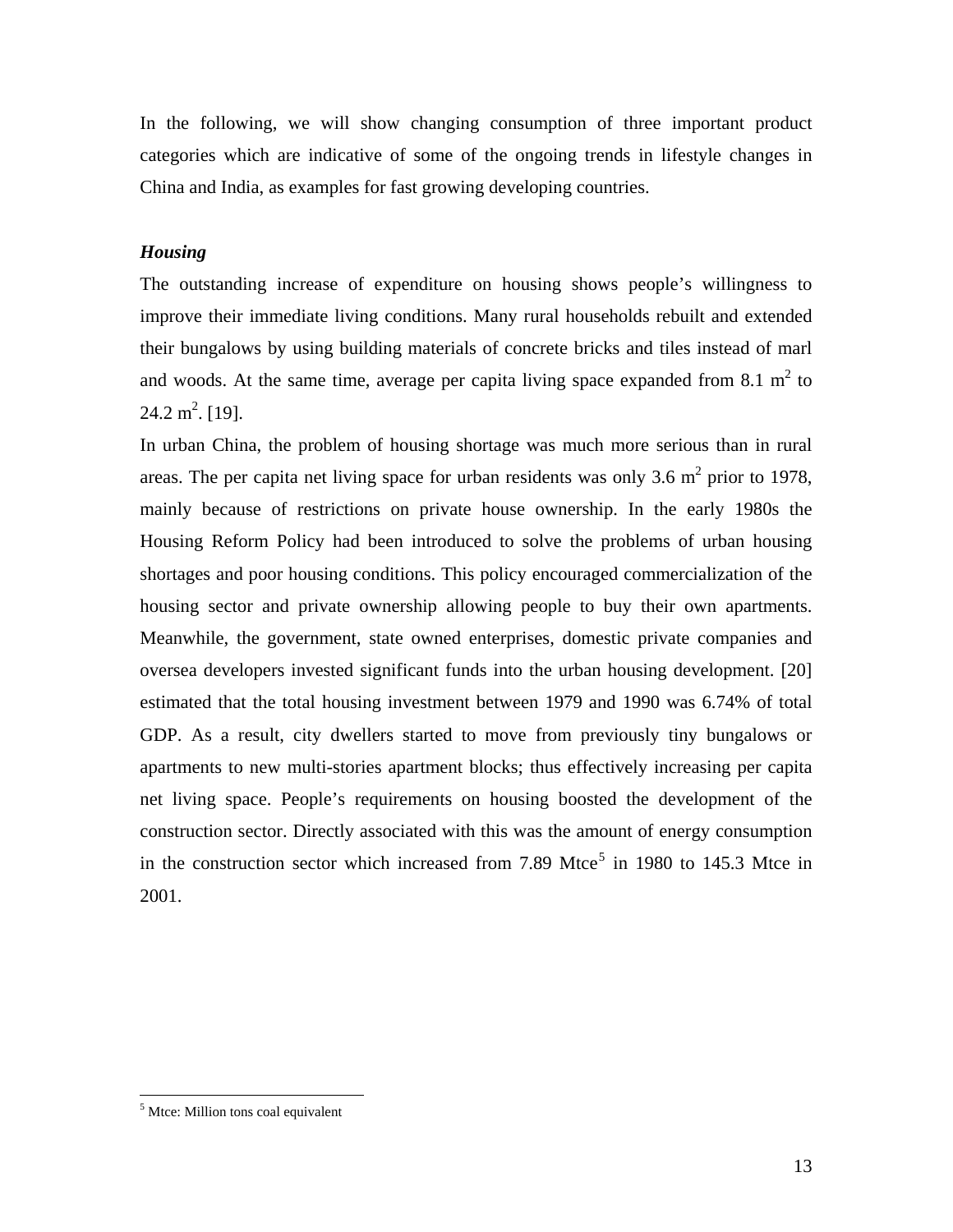In the following, we will show changing consumption of three important product categories which are indicative of some of the ongoing trends in lifestyle changes in China and India, as examples for fast growing developing countries.

## *Housing*

The outstanding increase of expenditure on housing shows people's willingness to improve their immediate living conditions. Many rural households rebuilt and extended their bungalows by using building materials of concrete bricks and tiles instead of marl and woods. At the same time, average per capita living space expanded from 8.1  $m<sup>2</sup>$  to  $24.2 \text{ m}^2$ . [19].

In urban China, the problem of housing shortage was much more serious than in rural areas. The per capita net living space for urban residents was only 3.6  $m^2$  prior to 1978, mainly because of restrictions on private house ownership. In the early 1980s the Housing Reform Policy had been introduced to solve the problems of urban housing shortages and poor housing conditions. This policy encouraged commercialization of the housing sector and private ownership allowing people to buy their own apartments. Meanwhile, the government, state owned enterprises, domestic private companies and oversea developers invested significant funds into the urban housing development. [20] estimated that the total housing investment between 1979 and 1990 was 6.74% of total GDP. As a result, city dwellers started to move from previously tiny bungalows or apartments to new multi-stories apartment blocks; thus effectively increasing per capita net living space. People's requirements on housing boosted the development of the construction sector. Directly associated with this was the amount of energy consumption in the construction sector which increased from 7.89 Mtce<sup>[5](#page-13-0)</sup> in 1980 to 145.3 Mtce in 2001.

<span id="page-13-0"></span> $<sup>5</sup>$  Mtce: Million tons coal equivalent</sup>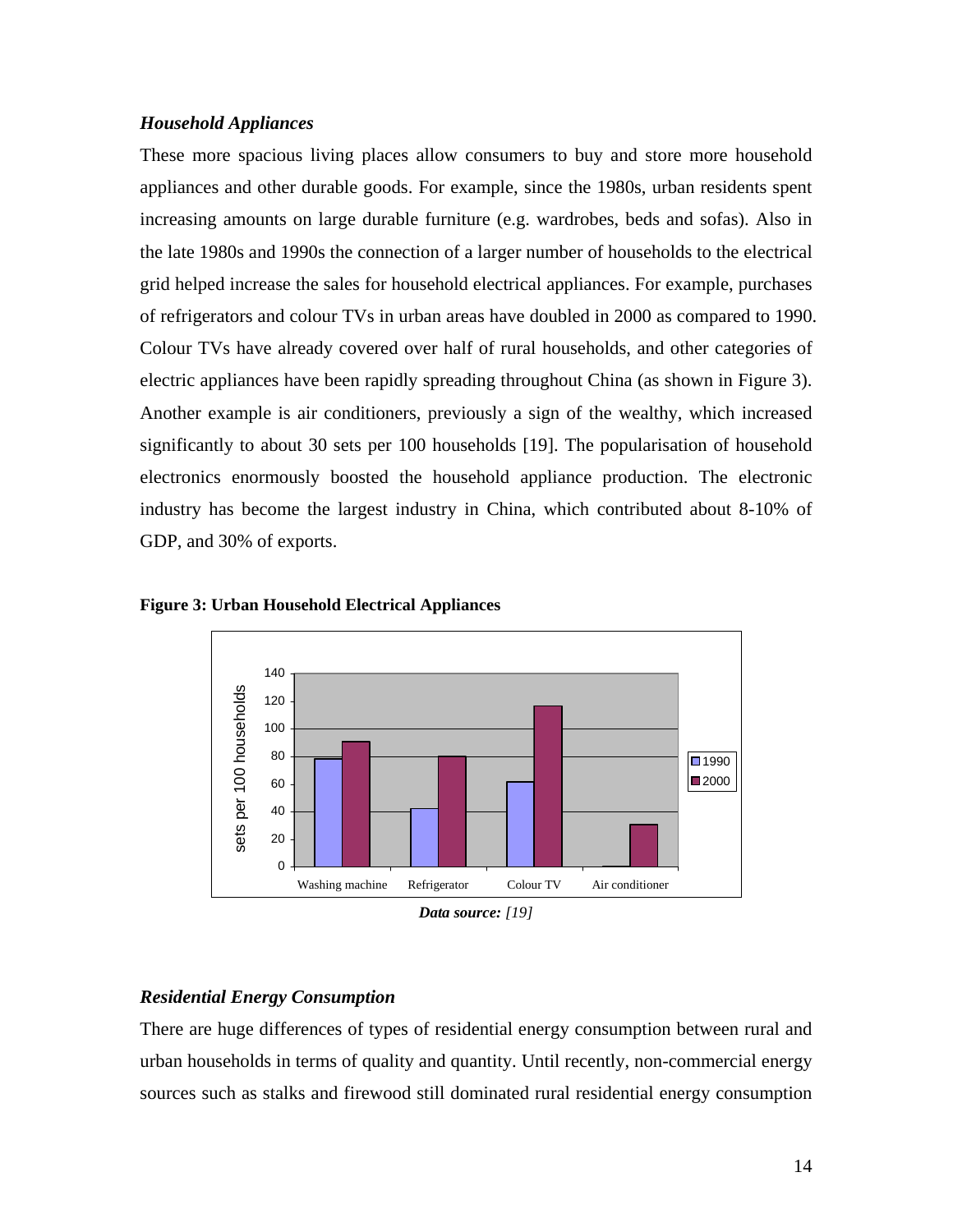## *Household Appliances*

These more spacious living places allow consumers to buy and store more household appliances and other durable goods. For example, since the 1980s, urban residents spent increasing amounts on large durable furniture (e.g. wardrobes, beds and sofas). Also in the late 1980s and 1990s the connection of a larger number of households to the electrical grid helped increase the sales for household electrical appliances. For example, purchases of refrigerators and colour TVs in urban areas have doubled in 2000 as compared to 1990. Colour TVs have already covered over half of rural households, and other categories of electric appliances have been rapidly spreading throughout China (as shown in Figure 3). Another example is air conditioners, previously a sign of the wealthy, which increased significantly to about 30 sets per 100 households [19]. The popularisation of household electronics enormously boosted the household appliance production. The electronic industry has become the largest industry in China, which contributed about 8-10% of GDP, and 30% of exports.



**Figure 3: Urban Household Electrical Appliances** 

## *Residential Energy Consumption*

There are huge differences of types of residential energy consumption between rural and urban households in terms of quality and quantity. Until recently, non-commercial energy sources such as stalks and firewood still dominated rural residential energy consumption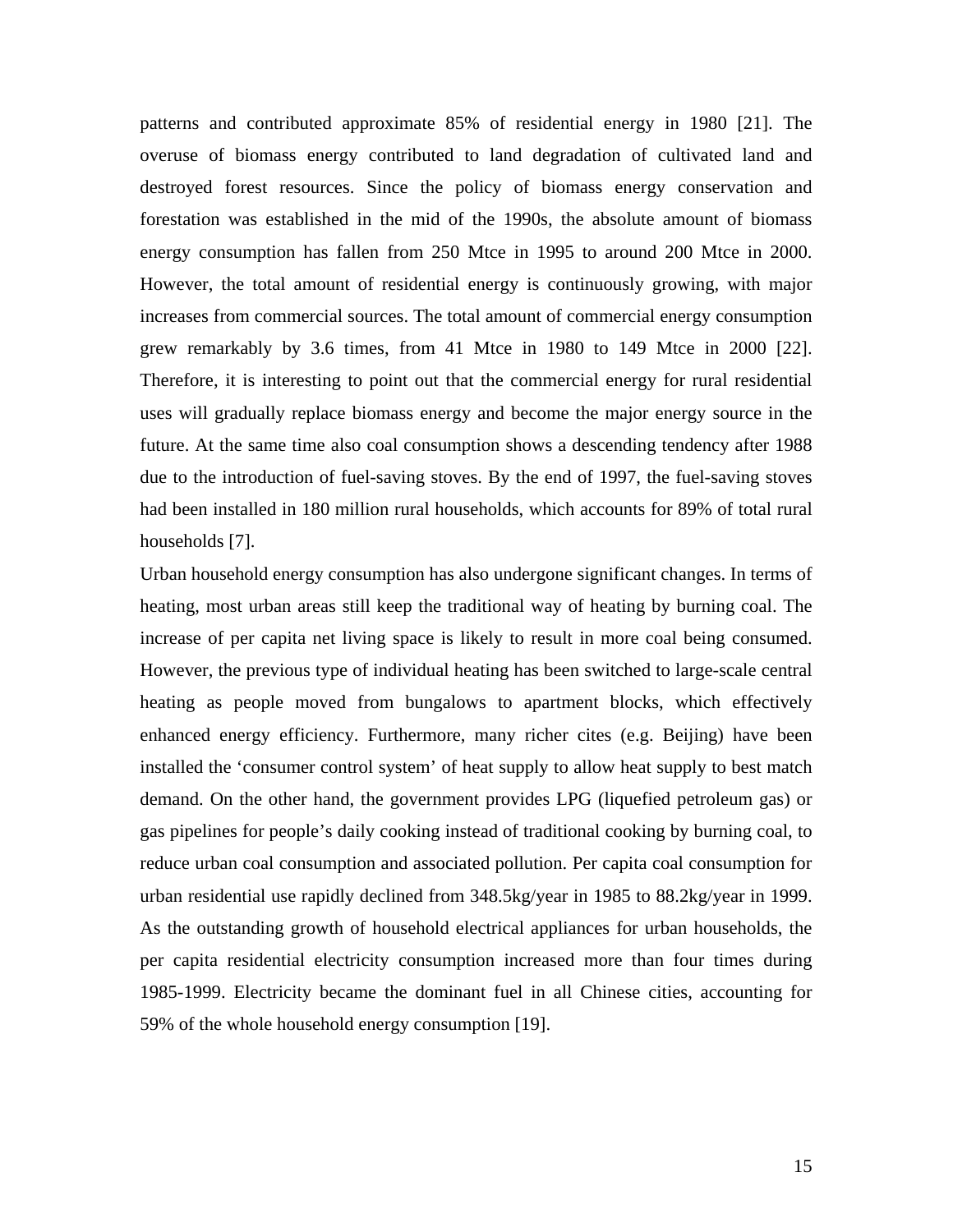patterns and contributed approximate 85% of residential energy in 1980 [21]. The overuse of biomass energy contributed to land degradation of cultivated land and destroyed forest resources. Since the policy of biomass energy conservation and forestation was established in the mid of the 1990s, the absolute amount of biomass energy consumption has fallen from 250 Mtce in 1995 to around 200 Mtce in 2000. However, the total amount of residential energy is continuously growing, with major increases from commercial sources. The total amount of commercial energy consumption grew remarkably by 3.6 times, from 41 Mtce in 1980 to 149 Mtce in 2000 [22]. Therefore, it is interesting to point out that the commercial energy for rural residential uses will gradually replace biomass energy and become the major energy source in the future. At the same time also coal consumption shows a descending tendency after 1988 due to the introduction of fuel-saving stoves. By the end of 1997, the fuel-saving stoves had been installed in 180 million rural households, which accounts for 89% of total rural households [7].

Urban household energy consumption has also undergone significant changes. In terms of heating, most urban areas still keep the traditional way of heating by burning coal. The increase of per capita net living space is likely to result in more coal being consumed. However, the previous type of individual heating has been switched to large-scale central heating as people moved from bungalows to apartment blocks, which effectively enhanced energy efficiency. Furthermore, many richer cites (e.g. Beijing) have been installed the 'consumer control system' of heat supply to allow heat supply to best match demand. On the other hand, the government provides LPG (liquefied petroleum gas) or gas pipelines for people's daily cooking instead of traditional cooking by burning coal, to reduce urban coal consumption and associated pollution. Per capita coal consumption for urban residential use rapidly declined from 348.5kg/year in 1985 to 88.2kg/year in 1999. As the outstanding growth of household electrical appliances for urban households, the per capita residential electricity consumption increased more than four times during 1985-1999. Electricity became the dominant fuel in all Chinese cities, accounting for 59% of the whole household energy consumption [19].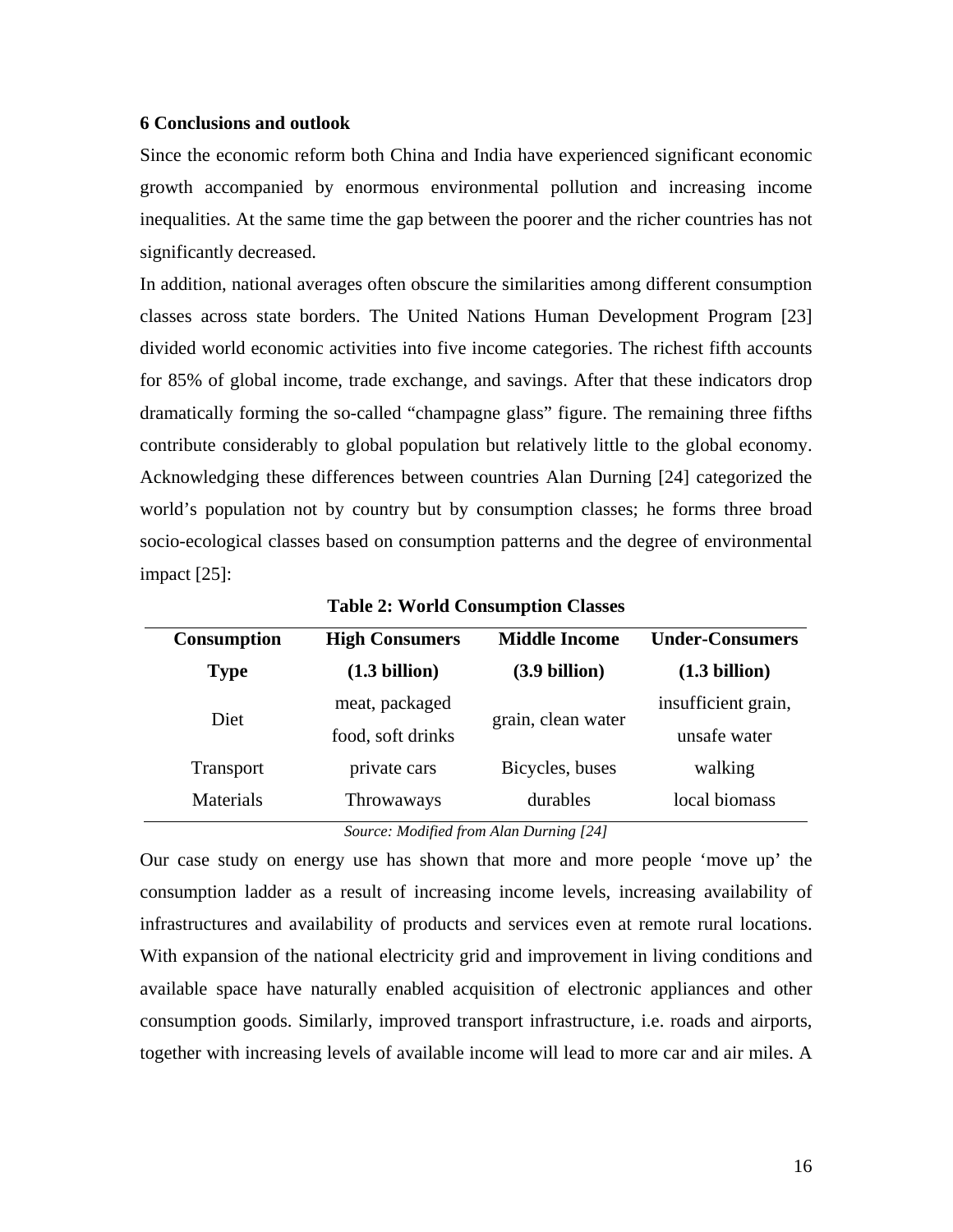## **6 Conclusions and outlook**

Since the economic reform both China and India have experienced significant economic growth accompanied by enormous environmental pollution and increasing income inequalities. At the same time the gap between the poorer and the richer countries has not significantly decreased.

In addition, national averages often obscure the similarities among different consumption classes across state borders. The United Nations Human Development Program [23] divided world economic activities into five income categories. The richest fifth accounts for 85% of global income, trade exchange, and savings. After that these indicators drop dramatically forming the so-called "champagne glass" figure. The remaining three fifths contribute considerably to global population but relatively little to the global economy. Acknowledging these differences between countries Alan Durning [24] categorized the world's population not by country but by consumption classes; he forms three broad socio-ecological classes based on consumption patterns and the degree of environmental impact [25]:

| <b>Consumption</b> | <b>High Consumers</b> | <b>Middle Income</b>    | <b>Under-Consumers</b> |
|--------------------|-----------------------|-------------------------|------------------------|
| <b>Type</b>        | (1.3 billion)         | $(3.9 \text{ billion})$ | (1.3 billion)          |
| Diet               | meat, packaged        | grain, clean water      | insufficient grain,    |
|                    | food, soft drinks     |                         | unsafe water           |
| <b>Transport</b>   | private cars          | Bicycles, buses         | walking                |
| Materials          | Throwaways            | durables                | local biomass          |
|                    |                       | $C = M U^c U^c = M = D$ |                        |

**Table 2: World Consumption Classes** 

*Source: Modified from Alan Durning [24]* 

Our case study on energy use has shown that more and more people 'move up' the consumption ladder as a result of increasing income levels, increasing availability of infrastructures and availability of products and services even at remote rural locations. With expansion of the national electricity grid and improvement in living conditions and available space have naturally enabled acquisition of electronic appliances and other consumption goods. Similarly, improved transport infrastructure, i.e. roads and airports, together with increasing levels of available income will lead to more car and air miles. A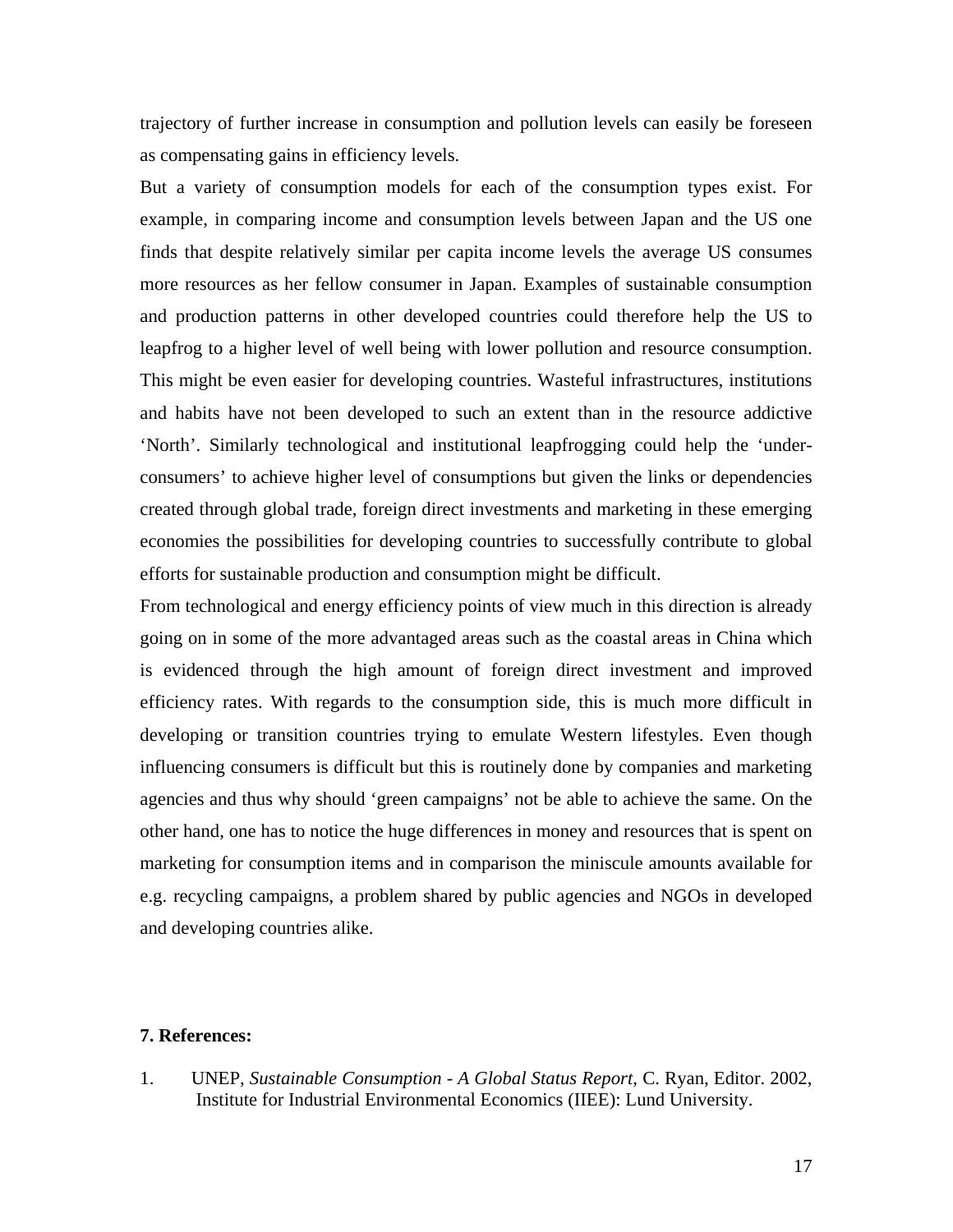trajectory of further increase in consumption and pollution levels can easily be foreseen as compensating gains in efficiency levels.

But a variety of consumption models for each of the consumption types exist. For example, in comparing income and consumption levels between Japan and the US one finds that despite relatively similar per capita income levels the average US consumes more resources as her fellow consumer in Japan. Examples of sustainable consumption and production patterns in other developed countries could therefore help the US to leapfrog to a higher level of well being with lower pollution and resource consumption. This might be even easier for developing countries. Wasteful infrastructures, institutions and habits have not been developed to such an extent than in the resource addictive 'North'. Similarly technological and institutional leapfrogging could help the 'underconsumers' to achieve higher level of consumptions but given the links or dependencies created through global trade, foreign direct investments and marketing in these emerging economies the possibilities for developing countries to successfully contribute to global efforts for sustainable production and consumption might be difficult.

From technological and energy efficiency points of view much in this direction is already going on in some of the more advantaged areas such as the coastal areas in China which is evidenced through the high amount of foreign direct investment and improved efficiency rates. With regards to the consumption side, this is much more difficult in developing or transition countries trying to emulate Western lifestyles. Even though influencing consumers is difficult but this is routinely done by companies and marketing agencies and thus why should 'green campaigns' not be able to achieve the same. On the other hand, one has to notice the huge differences in money and resources that is spent on marketing for consumption items and in comparison the miniscule amounts available for e.g. recycling campaigns, a problem shared by public agencies and NGOs in developed and developing countries alike.

## **7. References:**

1. UNEP, *Sustainable Consumption - A Global Status Report*, C. Ryan, Editor. 2002, Institute for Industrial Environmental Economics (IIEE): Lund University.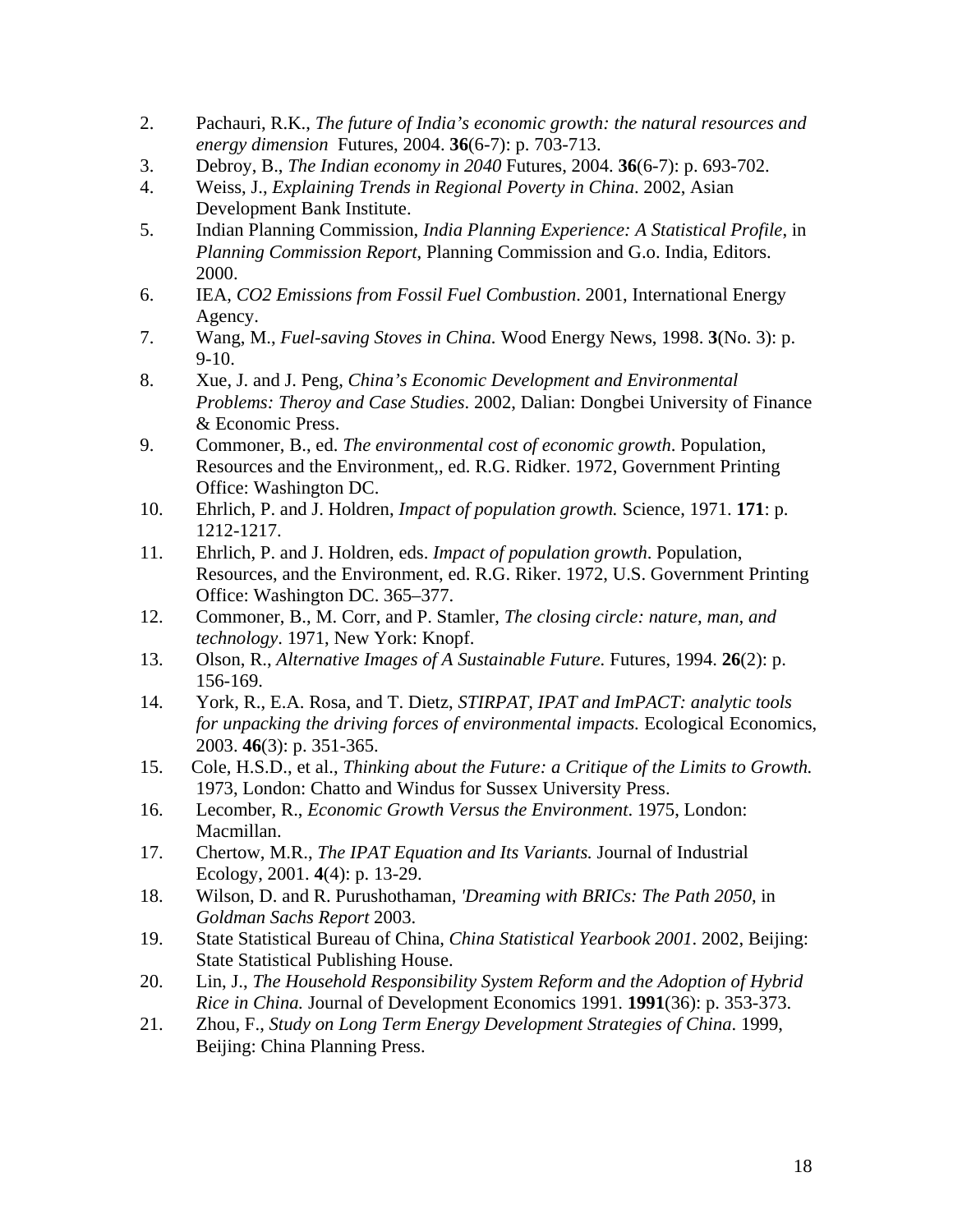- 2. Pachauri, R.K., *The future of India's economic growth: the natural resources and energy dimension* Futures, 2004. **36**(6-7): p. 703-713.
- 3. Debroy, B., *The Indian economy in 2040* Futures, 2004. **36**(6-7): p. 693-702.
- 4. Weiss, J., *Explaining Trends in Regional Poverty in China*. 2002, Asian Development Bank Institute.
- 5. Indian Planning Commission, *India Planning Experience: A Statistical Profile*, in *Planning Commission Report*, Planning Commission and G.o. India, Editors. 2000.
- 6. IEA, *CO2 Emissions from Fossil Fuel Combustion*. 2001, International Energy Agency.
- 7. Wang, M., *Fuel-saving Stoves in China.* Wood Energy News, 1998. **3**(No. 3): p. 9-10.
- 8. Xue, J. and J. Peng, *China's Economic Development and Environmental Problems: Theroy and Case Studies*. 2002, Dalian: Dongbei University of Finance & Economic Press.
- 9. Commoner, B., ed. *The environmental cost of economic growth*. Population, Resources and the Environment,, ed. R.G. Ridker. 1972, Government Printing Office: Washington DC.
- 10. Ehrlich, P. and J. Holdren, *Impact of population growth.* Science, 1971. **171**: p. 1212-1217.
- 11. Ehrlich, P. and J. Holdren, eds. *Impact of population growth*. Population, Resources, and the Environment, ed. R.G. Riker. 1972, U.S. Government Printing Office: Washington DC. 365–377.
- 12. Commoner, B., M. Corr, and P. Stamler, *The closing circle: nature, man, and technology*. 1971, New York: Knopf.
- 13. Olson, R., *Alternative Images of A Sustainable Future.* Futures, 1994. **26**(2): p. 156-169.
- 14. York, R., E.A. Rosa, and T. Dietz, *STIRPAT, IPAT and ImPACT: analytic tools for unpacking the driving forces of environmental impacts.* Ecological Economics, 2003. **46**(3): p. 351-365.
- 15. Cole, H.S.D., et al., *Thinking about the Future: a Critique of the Limits to Growth.* 1973, London: Chatto and Windus for Sussex University Press.
- 16. Lecomber, R., *Economic Growth Versus the Environment*. 1975, London: Macmillan.
- 17. Chertow, M.R., *The IPAT Equation and Its Variants.* Journal of Industrial Ecology, 2001. **4**(4): p. 13-29.
- 18. Wilson, D. and R. Purushothaman, *'Dreaming with BRICs: The Path 2050*, in *Goldman Sachs Report* 2003.
- 19. State Statistical Bureau of China, *China Statistical Yearbook 2001*. 2002, Beijing: State Statistical Publishing House.
- 20. Lin, J., *The Household Responsibility System Reform and the Adoption of Hybrid Rice in China.* Journal of Development Economics 1991. **1991**(36): p. 353-373.
- 21. Zhou, F., *Study on Long Term Energy Development Strategies of China*. 1999, Beijing: China Planning Press.